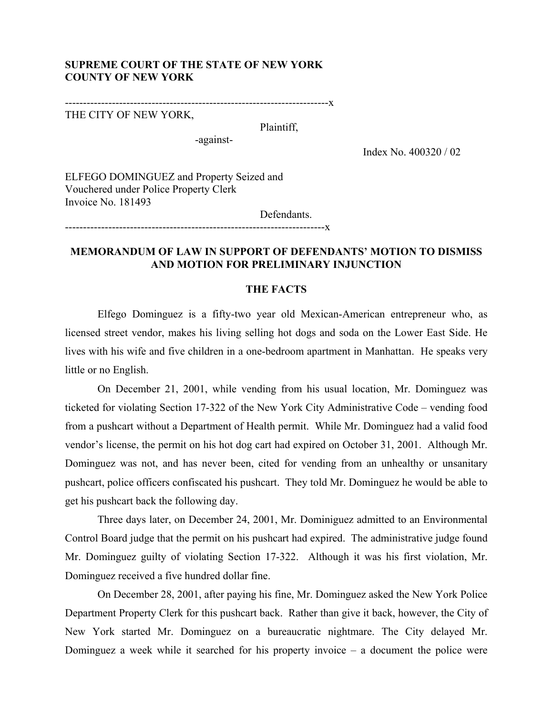## **SUPREME COURT OF THE STATE OF NEW YORK COUNTY OF NEW YORK**

-------------------------------------------------------------------------x

THE CITY OF NEW YORK,

Plaintiff,

-against-

------------------------------------------------------------------------x

Index No. 400320 / 02

ELFEGO DOMINGUEZ and Property Seized and Vouchered under Police Property Clerk Invoice No. 181493

Defendants.

# **MEMORANDUM OF LAW IN SUPPORT OF DEFENDANTS' MOTION TO DISMISS AND MOTION FOR PRELIMINARY INJUNCTION**

### **THE FACTS**

Elfego Dominguez is a fifty-two year old Mexican-American entrepreneur who, as licensed street vendor, makes his living selling hot dogs and soda on the Lower East Side. He lives with his wife and five children in a one-bedroom apartment in Manhattan. He speaks very little or no English.

On December 21, 2001, while vending from his usual location, Mr. Dominguez was ticketed for violating Section 17-322 of the New York City Administrative Code – vending food from a pushcart without a Department of Health permit. While Mr. Dominguez had a valid food vendor's license, the permit on his hot dog cart had expired on October 31, 2001. Although Mr. Dominguez was not, and has never been, cited for vending from an unhealthy or unsanitary pushcart, police officers confiscated his pushcart. They told Mr. Dominguez he would be able to get his pushcart back the following day.

Three days later, on December 24, 2001, Mr. Dominiguez admitted to an Environmental Control Board judge that the permit on his pushcart had expired. The administrative judge found Mr. Dominguez guilty of violating Section 17-322. Although it was his first violation, Mr. Dominguez received a five hundred dollar fine.

 On December 28, 2001, after paying his fine, Mr. Dominguez asked the New York Police Department Property Clerk for this pushcart back. Rather than give it back, however, the City of New York started Mr. Dominguez on a bureaucratic nightmare. The City delayed Mr. Dominguez a week while it searched for his property invoice – a document the police were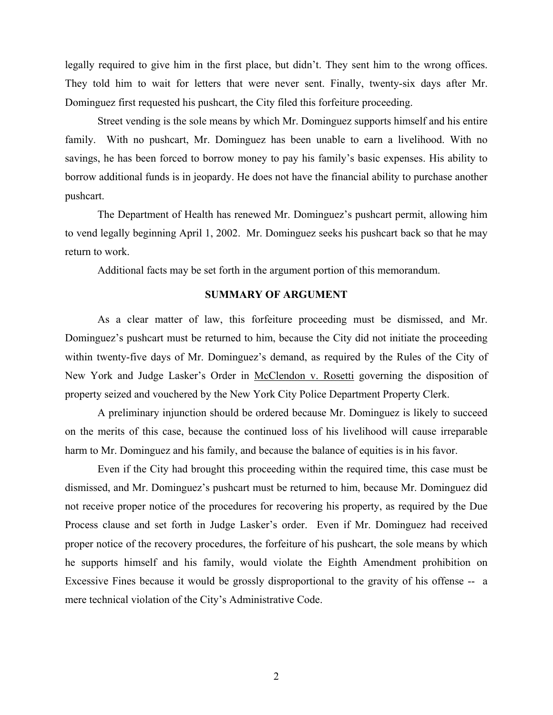legally required to give him in the first place, but didn't. They sent him to the wrong offices. They told him to wait for letters that were never sent. Finally, twenty-six days after Mr. Dominguez first requested his pushcart, the City filed this forfeiture proceeding.

Street vending is the sole means by which Mr. Dominguez supports himself and his entire family. With no pushcart, Mr. Dominguez has been unable to earn a livelihood. With no savings, he has been forced to borrow money to pay his family's basic expenses. His ability to borrow additional funds is in jeopardy. He does not have the financial ability to purchase another pushcart.

The Department of Health has renewed Mr. Dominguez's pushcart permit, allowing him to vend legally beginning April 1, 2002. Mr. Dominguez seeks his pushcart back so that he may return to work.

Additional facts may be set forth in the argument portion of this memorandum.

## **SUMMARY OF ARGUMENT**

As a clear matter of law, this forfeiture proceeding must be dismissed, and Mr. Dominguez's pushcart must be returned to him, because the City did not initiate the proceeding within twenty-five days of Mr. Dominguez's demand, as required by the Rules of the City of New York and Judge Lasker's Order in McClendon v. Rosetti governing the disposition of property seized and vouchered by the New York City Police Department Property Clerk.

A preliminary injunction should be ordered because Mr. Dominguez is likely to succeed on the merits of this case, because the continued loss of his livelihood will cause irreparable harm to Mr. Dominguez and his family, and because the balance of equities is in his favor.

Even if the City had brought this proceeding within the required time, this case must be dismissed, and Mr. Dominguez's pushcart must be returned to him, because Mr. Dominguez did not receive proper notice of the procedures for recovering his property, as required by the Due Process clause and set forth in Judge Lasker's order. Even if Mr. Dominguez had received proper notice of the recovery procedures, the forfeiture of his pushcart, the sole means by which he supports himself and his family, would violate the Eighth Amendment prohibition on Excessive Fines because it would be grossly disproportional to the gravity of his offense -- a mere technical violation of the City's Administrative Code.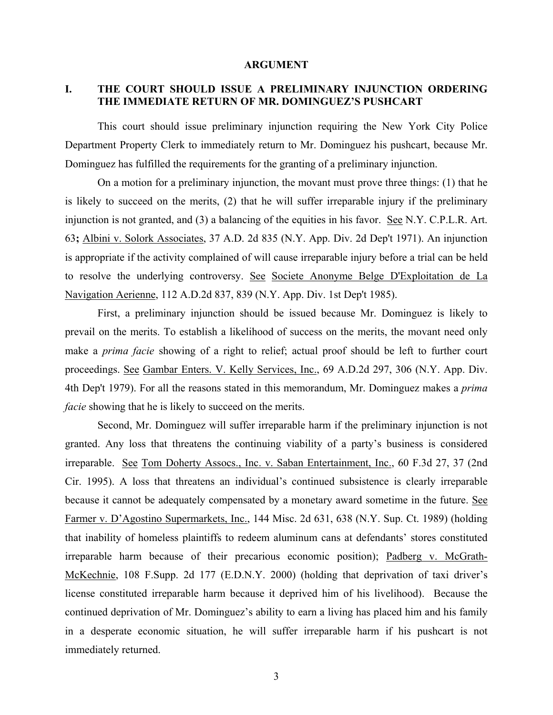### **ARGUMENT**

# **I. THE COURT SHOULD ISSUE A PRELIMINARY INJUNCTION ORDERING THE IMMEDIATE RETURN OF MR. DOMINGUEZ'S PUSHCART**

This court should issue preliminary injunction requiring the New York City Police Department Property Clerk to immediately return to Mr. Dominguez his pushcart, because Mr. Dominguez has fulfilled the requirements for the granting of a preliminary injunction.

On a motion for a preliminary injunction, the movant must prove three things: (1) that he is likely to succeed on the merits, (2) that he will suffer irreparable injury if the preliminary injunction is not granted, and (3) a balancing of the equities in his favor. See N.Y. C.P.L.R. Art. 63**;** Albini v. Solork Associates, 37 A.D. 2d 835 (N.Y. App. Div. 2d Dep't 1971). An injunction is appropriate if the activity complained of will cause irreparable injury before a trial can be held to resolve the underlying controversy. See Societe Anonyme Belge D'Exploitation de La Navigation Aerienne, 112 A.D.2d 837, 839 (N.Y. App. Div. 1st Dep't 1985).

First, a preliminary injunction should be issued because Mr. Dominguez is likely to prevail on the merits. To establish a likelihood of success on the merits, the movant need only make a *prima facie* showing of a right to relief; actual proof should be left to further court proceedings. See Gambar Enters. V. Kelly Services, Inc., 69 A.D.2d 297, 306 (N.Y. App. Div. 4th Dep't 1979). For all the reasons stated in this memorandum, Mr. Dominguez makes a *prima facie* showing that he is likely to succeed on the merits.

Second, Mr. Dominguez will suffer irreparable harm if the preliminary injunction is not granted. Any loss that threatens the continuing viability of a party's business is considered irreparable. See Tom Doherty Assocs., Inc. v. Saban Entertainment, Inc., 60 F.3d 27, 37 (2nd Cir. 1995). A loss that threatens an individual's continued subsistence is clearly irreparable because it cannot be adequately compensated by a monetary award sometime in the future. See Farmer v. D'Agostino Supermarkets, Inc., 144 Misc. 2d 631, 638 (N.Y. Sup. Ct. 1989) (holding that inability of homeless plaintiffs to redeem aluminum cans at defendants' stores constituted irreparable harm because of their precarious economic position); Padberg v. McGrath-McKechnie, 108 F.Supp. 2d 177 (E.D.N.Y. 2000) (holding that deprivation of taxi driver's license constituted irreparable harm because it deprived him of his livelihood). Because the continued deprivation of Mr. Dominguez's ability to earn a living has placed him and his family in a desperate economic situation, he will suffer irreparable harm if his pushcart is not immediately returned.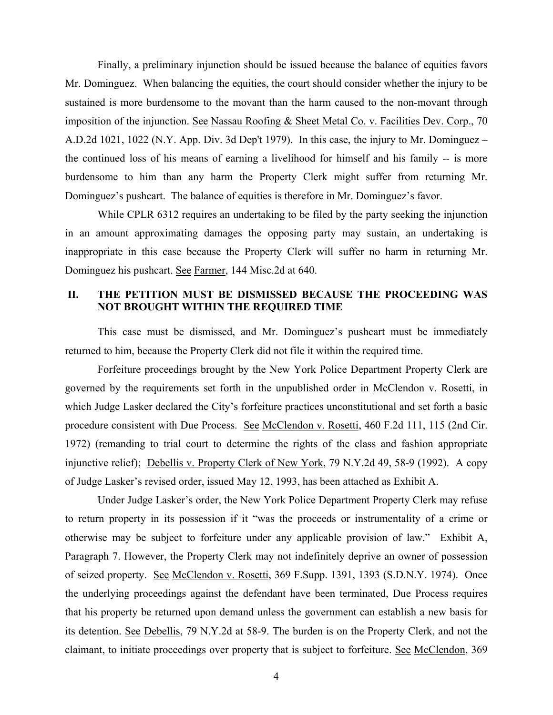Finally, a preliminary injunction should be issued because the balance of equities favors Mr. Dominguez. When balancing the equities, the court should consider whether the injury to be sustained is more burdensome to the movant than the harm caused to the non-movant through imposition of the injunction. <u>See Nassau Roofing & Sheet Metal Co. v. Facilities Dev. Corp.</u>, 70 A.D.2d 1021, 1022 (N.Y. App. Div. 3d Dep't 1979). In this case, the injury to Mr. Dominguez – the continued loss of his means of earning a livelihood for himself and his family -- is more burdensome to him than any harm the Property Clerk might suffer from returning Mr. Dominguez's pushcart. The balance of equities is therefore in Mr. Dominguez's favor.

While CPLR 6312 requires an undertaking to be filed by the party seeking the injunction in an amount approximating damages the opposing party may sustain, an undertaking is inappropriate in this case because the Property Clerk will suffer no harm in returning Mr. Dominguez his pushcart. See Farmer, 144 Misc.2d at 640.

# **II. THE PETITION MUST BE DISMISSED BECAUSE THE PROCEEDING WAS NOT BROUGHT WITHIN THE REQUIRED TIME**

This case must be dismissed, and Mr. Dominguez's pushcart must be immediately returned to him, because the Property Clerk did not file it within the required time.

Forfeiture proceedings brought by the New York Police Department Property Clerk are governed by the requirements set forth in the unpublished order in McClendon v. Rosetti, in which Judge Lasker declared the City's forfeiture practices unconstitutional and set forth a basic procedure consistent with Due Process. See McClendon v. Rosetti, 460 F.2d 111, 115 (2nd Cir. 1972) (remanding to trial court to determine the rights of the class and fashion appropriate injunctive relief); Debellis v. Property Clerk of New York, 79 N.Y.2d 49, 58-9 (1992). A copy of Judge Lasker's revised order, issued May 12, 1993, has been attached as Exhibit A.

Under Judge Lasker's order, the New York Police Department Property Clerk may refuse to return property in its possession if it "was the proceeds or instrumentality of a crime or otherwise may be subject to forfeiture under any applicable provision of law." Exhibit A, Paragraph 7. However, the Property Clerk may not indefinitely deprive an owner of possession of seized property. See McClendon v. Rosetti, 369 F.Supp. 1391, 1393 (S.D.N.Y. 1974). Once the underlying proceedings against the defendant have been terminated, Due Process requires that his property be returned upon demand unless the government can establish a new basis for its detention. See Debellis, 79 N.Y.2d at 58-9. The burden is on the Property Clerk, and not the claimant, to initiate proceedings over property that is subject to forfeiture. See McClendon, 369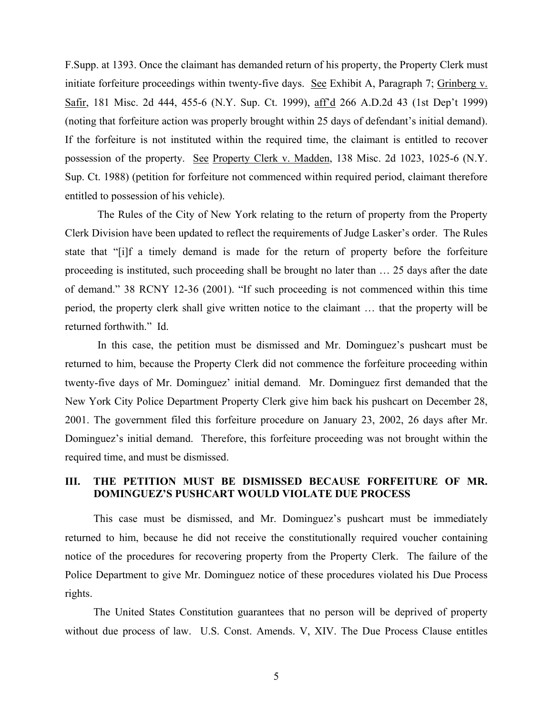F.Supp. at 1393. Once the claimant has demanded return of his property, the Property Clerk must initiate forfeiture proceedings within twenty-five days. See Exhibit A, Paragraph 7; Grinberg v. Safir, 181 Misc. 2d 444, 455-6 (N.Y. Sup. Ct. 1999), aff'd 266 A.D.2d 43 (1st Dep't 1999) (noting that forfeiture action was properly brought within 25 days of defendant's initial demand). If the forfeiture is not instituted within the required time, the claimant is entitled to recover possession of the property. See Property Clerk v. Madden, 138 Misc. 2d 1023, 1025-6 (N.Y. Sup. Ct. 1988) (petition for forfeiture not commenced within required period, claimant therefore entitled to possession of his vehicle).

The Rules of the City of New York relating to the return of property from the Property Clerk Division have been updated to reflect the requirements of Judge Lasker's order. The Rules state that "[i]f a timely demand is made for the return of property before the forfeiture proceeding is instituted, such proceeding shall be brought no later than … 25 days after the date of demand." 38 RCNY 12-36 (2001). "If such proceeding is not commenced within this time period, the property clerk shall give written notice to the claimant … that the property will be returned forthwith." Id.

In this case, the petition must be dismissed and Mr. Dominguez's pushcart must be returned to him, because the Property Clerk did not commence the forfeiture proceeding within twenty-five days of Mr. Dominguez' initial demand. Mr. Dominguez first demanded that the New York City Police Department Property Clerk give him back his pushcart on December 28, 2001. The government filed this forfeiture procedure on January 23, 2002, 26 days after Mr. Dominguez's initial demand. Therefore, this forfeiture proceeding was not brought within the required time, and must be dismissed.

# **III. THE PETITION MUST BE DISMISSED BECAUSE FORFEITURE OF MR. DOMINGUEZ'S PUSHCART WOULD VIOLATE DUE PROCESS**

This case must be dismissed, and Mr. Dominguez's pushcart must be immediately returned to him, because he did not receive the constitutionally required voucher containing notice of the procedures for recovering property from the Property Clerk. The failure of the Police Department to give Mr. Dominguez notice of these procedures violated his Due Process rights.

The United States Constitution guarantees that no person will be deprived of property without due process of law. U.S. Const. Amends. V, XIV. The Due Process Clause entitles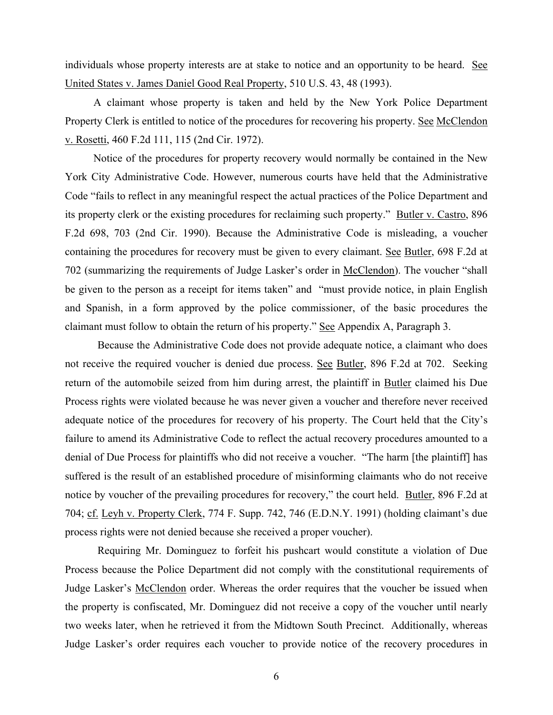individuals whose property interests are at stake to notice and an opportunity to be heard. See United States v. James Daniel Good Real Property, 510 U.S. 43, 48 (1993).

A claimant whose property is taken and held by the New York Police Department Property Clerk is entitled to notice of the procedures for recovering his property. See McClendon v. Rosetti, 460 F.2d 111, 115 (2nd Cir. 1972).

Notice of the procedures for property recovery would normally be contained in the New York City Administrative Code. However, numerous courts have held that the Administrative Code "fails to reflect in any meaningful respect the actual practices of the Police Department and its property clerk or the existing procedures for reclaiming such property." Butler v. Castro, 896 F.2d 698, 703 (2nd Cir. 1990). Because the Administrative Code is misleading, a voucher containing the procedures for recovery must be given to every claimant. See Butler, 698 F.2d at 702 (summarizing the requirements of Judge Lasker's order in McClendon). The voucher "shall be given to the person as a receipt for items taken" and "must provide notice, in plain English and Spanish, in a form approved by the police commissioner, of the basic procedures the claimant must follow to obtain the return of his property." See Appendix A, Paragraph 3.

Because the Administrative Code does not provide adequate notice, a claimant who does not receive the required voucher is denied due process. See Butler, 896 F.2d at 702. Seeking return of the automobile seized from him during arrest, the plaintiff in Butler claimed his Due Process rights were violated because he was never given a voucher and therefore never received adequate notice of the procedures for recovery of his property. The Court held that the City's failure to amend its Administrative Code to reflect the actual recovery procedures amounted to a denial of Due Process for plaintiffs who did not receive a voucher. "The harm [the plaintiff] has suffered is the result of an established procedure of misinforming claimants who do not receive notice by voucher of the prevailing procedures for recovery," the court held. Butler, 896 F.2d at 704; cf. Leyh v. Property Clerk, 774 F. Supp. 742, 746 (E.D.N.Y. 1991) (holding claimant's due process rights were not denied because she received a proper voucher).

Requiring Mr. Dominguez to forfeit his pushcart would constitute a violation of Due Process because the Police Department did not comply with the constitutional requirements of Judge Lasker's McClendon order. Whereas the order requires that the voucher be issued when the property is confiscated, Mr. Dominguez did not receive a copy of the voucher until nearly two weeks later, when he retrieved it from the Midtown South Precinct. Additionally, whereas Judge Lasker's order requires each voucher to provide notice of the recovery procedures in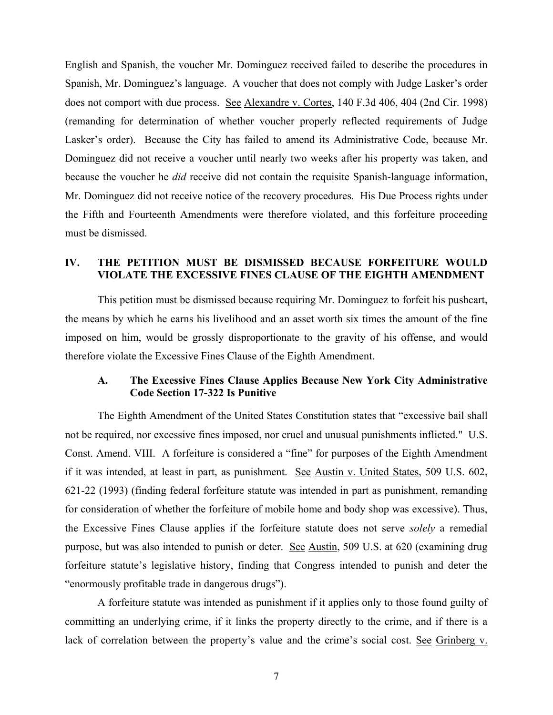English and Spanish, the voucher Mr. Dominguez received failed to describe the procedures in Spanish, Mr. Dominguez's language. A voucher that does not comply with Judge Lasker's order does not comport with due process. See Alexandre v. Cortes, 140 F.3d 406, 404 (2nd Cir. 1998) (remanding for determination of whether voucher properly reflected requirements of Judge Lasker's order). Because the City has failed to amend its Administrative Code, because Mr. Dominguez did not receive a voucher until nearly two weeks after his property was taken, and because the voucher he *did* receive did not contain the requisite Spanish-language information, Mr. Dominguez did not receive notice of the recovery procedures. His Due Process rights under the Fifth and Fourteenth Amendments were therefore violated, and this forfeiture proceeding must be dismissed.

# **IV. THE PETITION MUST BE DISMISSED BECAUSE FORFEITURE WOULD VIOLATE THE EXCESSIVE FINES CLAUSE OF THE EIGHTH AMENDMENT**

This petition must be dismissed because requiring Mr. Dominguez to forfeit his pushcart, the means by which he earns his livelihood and an asset worth six times the amount of the fine imposed on him, would be grossly disproportionate to the gravity of his offense, and would therefore violate the Excessive Fines Clause of the Eighth Amendment.

### **A. The Excessive Fines Clause Applies Because New York City Administrative Code Section 17-322 Is Punitive**

The Eighth Amendment of the United States Constitution states that "excessive bail shall not be required, nor excessive fines imposed, nor cruel and unusual punishments inflicted." U.S. Const. Amend. VIII. A forfeiture is considered a "fine" for purposes of the Eighth Amendment if it was intended, at least in part, as punishment. See Austin v. United States, 509 U.S. 602, 621-22 (1993) (finding federal forfeiture statute was intended in part as punishment, remanding for consideration of whether the forfeiture of mobile home and body shop was excessive). Thus, the Excessive Fines Clause applies if the forfeiture statute does not serve *solely* a remedial purpose, but was also intended to punish or deter. See Austin, 509 U.S. at 620 (examining drug forfeiture statute's legislative history, finding that Congress intended to punish and deter the "enormously profitable trade in dangerous drugs").

A forfeiture statute was intended as punishment if it applies only to those found guilty of committing an underlying crime, if it links the property directly to the crime, and if there is a lack of correlation between the property's value and the crime's social cost. See Grinberg v.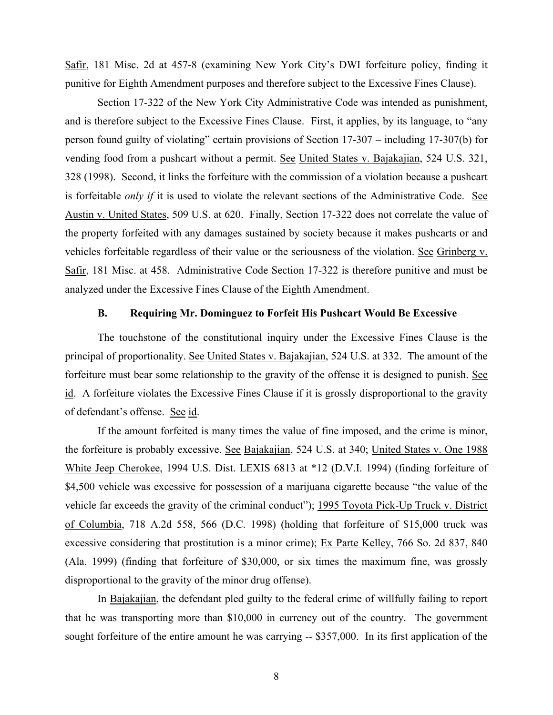Safir, 181 Misc. 2d at 457-8 (examining New York City's DWI forfeiture policy, finding it punitive for Eighth Amendment purposes and therefore subject to the Excessive Fines Clause).

Section 17-322 of the New York City Administrative Code was intended as punishment, and is therefore subject to the Excessive Fines Clause. First, it applies, by its language, to "any person found guilty of violating" certain provisions of Section 17-307 – including 17-307(b) for vending food from a pushcart without a permit. See United States v. Bajakajian, 524 U.S. 321, 328 (1998). Second, it links the forfeiture with the commission of a violation because a pushcart is forfeitable *only if* it is used to violate the relevant sections of the Administrative Code. See Austin v. United States, 509 U.S. at 620. Finally, Section 17-322 does not correlate the value of the property forfeited with any damages sustained by society because it makes pushcarts or and vehicles forfeitable regardless of their value or the seriousness of the violation. See Grinberg v. Safir, 181 Misc. at 458. Administrative Code Section 17-322 is therefore punitive and must be analyzed under the Excessive Fines Clause of the Eighth Amendment.

## **B. Requiring Mr. Dominguez to Forfeit His Pushcart Would Be Excessive**

The touchstone of the constitutional inquiry under the Excessive Fines Clause is the principal of proportionality. See United States v. Bajakajian, 524 U.S. at 332. The amount of the forfeiture must bear some relationship to the gravity of the offense it is designed to punish. See id. A forfeiture violates the Excessive Fines Clause if it is grossly disproportional to the gravity of defendant's offense. See id.

If the amount forfeited is many times the value of fine imposed, and the crime is minor, the forfeiture is probably excessive. See Bajakajian, 524 U.S. at 340; United States v. One 1988 White Jeep Cherokee, 1994 U.S. Dist. LEXIS 6813 at \*12 (D.V.I. 1994) (finding forfeiture of \$4,500 vehicle was excessive for possession of a marijuana cigarette because "the value of the vehicle far exceeds the gravity of the criminal conduct"); 1995 Toyota Pick-Up Truck v. District of Columbia, 718 A.2d 558, 566 (D.C. 1998) (holding that forfeiture of \$15,000 truck was excessive considering that prostitution is a minor crime); Ex Parte Kelley, 766 So. 2d 837, 840 (Ala. 1999) (finding that forfeiture of \$30,000, or six times the maximum fine, was grossly disproportional to the gravity of the minor drug offense).

In Bajakajian, the defendant pled guilty to the federal crime of willfully failing to report that he was transporting more than \$10,000 in currency out of the country. The government sought forfeiture of the entire amount he was carrying -- \$357,000. In its first application of the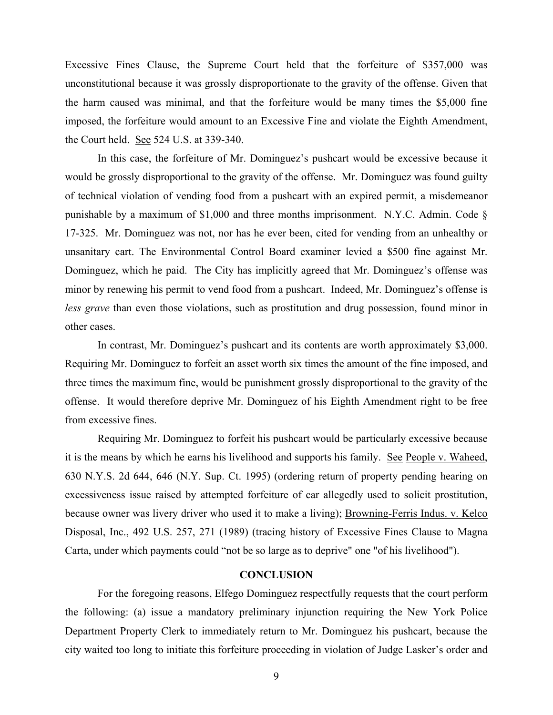Excessive Fines Clause, the Supreme Court held that the forfeiture of \$357,000 was unconstitutional because it was grossly disproportionate to the gravity of the offense. Given that the harm caused was minimal, and that the forfeiture would be many times the \$5,000 fine imposed, the forfeiture would amount to an Excessive Fine and violate the Eighth Amendment, the Court held. See 524 U.S. at 339-340.

In this case, the forfeiture of Mr. Dominguez's pushcart would be excessive because it would be grossly disproportional to the gravity of the offense. Mr. Dominguez was found guilty of technical violation of vending food from a pushcart with an expired permit, a misdemeanor punishable by a maximum of \$1,000 and three months imprisonment. N.Y.C. Admin. Code § 17-325. Mr. Dominguez was not, nor has he ever been, cited for vending from an unhealthy or unsanitary cart. The Environmental Control Board examiner levied a \$500 fine against Mr. Dominguez, which he paid. The City has implicitly agreed that Mr. Dominguez's offense was minor by renewing his permit to vend food from a pushcart. Indeed, Mr. Dominguez's offense is *less grave* than even those violations, such as prostitution and drug possession, found minor in other cases.

In contrast, Mr. Dominguez's pushcart and its contents are worth approximately \$3,000. Requiring Mr. Dominguez to forfeit an asset worth six times the amount of the fine imposed, and three times the maximum fine, would be punishment grossly disproportional to the gravity of the offense. It would therefore deprive Mr. Dominguez of his Eighth Amendment right to be free from excessive fines.

Requiring Mr. Dominguez to forfeit his pushcart would be particularly excessive because it is the means by which he earns his livelihood and supports his family. See People v. Waheed, 630 N.Y.S. 2d 644, 646 (N.Y. Sup. Ct. 1995) (ordering return of property pending hearing on excessiveness issue raised by attempted forfeiture of car allegedly used to solicit prostitution, because owner was livery driver who used it to make a living); Browning-Ferris Indus. v. Kelco Disposal, Inc., 492 U.S. 257, 271 (1989) (tracing history of Excessive Fines Clause to Magna Carta, under which payments could "not be so large as to deprive" one "of his livelihood").

### **CONCLUSION**

For the foregoing reasons, Elfego Dominguez respectfully requests that the court perform the following: (a) issue a mandatory preliminary injunction requiring the New York Police Department Property Clerk to immediately return to Mr. Dominguez his pushcart, because the city waited too long to initiate this forfeiture proceeding in violation of Judge Lasker's order and